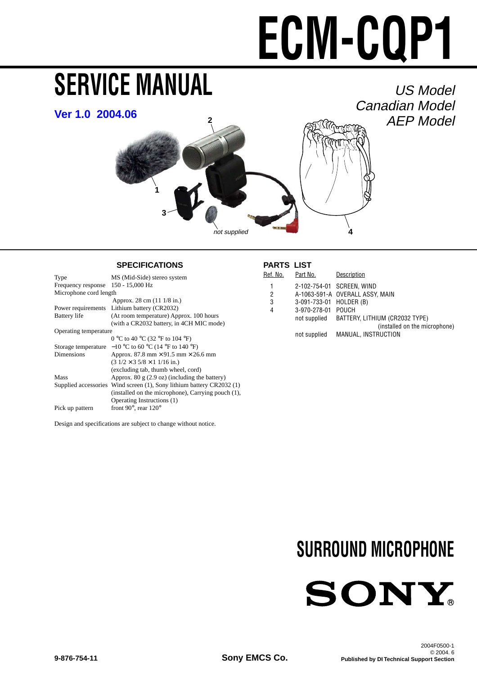# **ECM-CQP1**

# <span id="page-0-0"></span>**SERVICE MANUAL**

# US Model Canadian Model AEP Model



### **SPECIFICATIONS PARTS LIST**

| Type                               | MS (Mid-Side) stereo system                                           |  |  |  |  |
|------------------------------------|-----------------------------------------------------------------------|--|--|--|--|
| Frequency response 150 - 15,000 Hz |                                                                       |  |  |  |  |
| Microphone cord length             |                                                                       |  |  |  |  |
|                                    | Approx. 28 cm (11 1/8 in.)                                            |  |  |  |  |
|                                    | Power requirements Lithium battery (CR2032)                           |  |  |  |  |
| <b>Battery</b> life                | (At room temperature) Approx. 100 hours                               |  |  |  |  |
|                                    | (with a CR2032 battery, in 4CH MIC mode)                              |  |  |  |  |
| Operating temperature              |                                                                       |  |  |  |  |
|                                    | 0 °C to 40 °C (32 °F to 104 °F)                                       |  |  |  |  |
|                                    | Storage temperature $-10$ °C to 60 °C (14 °F to 140 °F)               |  |  |  |  |
| Dimensions                         | Approx. 87.8 mm $\times$ 91.5 mm $\times$ 26.6 mm                     |  |  |  |  |
|                                    | $(31/2 \times 35/8 \times 11/16 \text{ in.})$                         |  |  |  |  |
|                                    | (excluding tab, thumb wheel, cord)                                    |  |  |  |  |
| Mass                               | Approx. 80 $g$ (2.9 oz) (including the battery)                       |  |  |  |  |
|                                    | Supplied accessories Wind screen (1), Sony lithium battery CR2032 (1) |  |  |  |  |
|                                    | (installed on the microphone), Carrying pouch (1),                    |  |  |  |  |
|                                    | Operating Instructions (1)                                            |  |  |  |  |
| Pick up pattern                    | front 90 $^{\circ}$ , rear 120 $^{\circ}$                             |  |  |  |  |
|                                    |                                                                       |  |  |  |  |

Design and specifications are subject to change without notice.

| Ref. No.       | Part No.                | Description                                 |
|----------------|-------------------------|---------------------------------------------|
| 1              |                         | 2-102-754-01 SCREEN. WIND                   |
| $\overline{2}$ |                         | A-1063-591-A OVERALL ASSY, MAIN             |
| 3              | 3-091-733-01 HOLDER (B) |                                             |
| 4              | 3-970-278-01 POUCH      |                                             |
|                |                         | not supplied BATTERY, LITHIUM (CR2032 TYPE) |
|                |                         | (installed on the microphone)               |
|                | not supplied            | MANUAL, INSTRUCTION                         |
|                |                         |                                             |

# **SURROUND MICROPHONE**